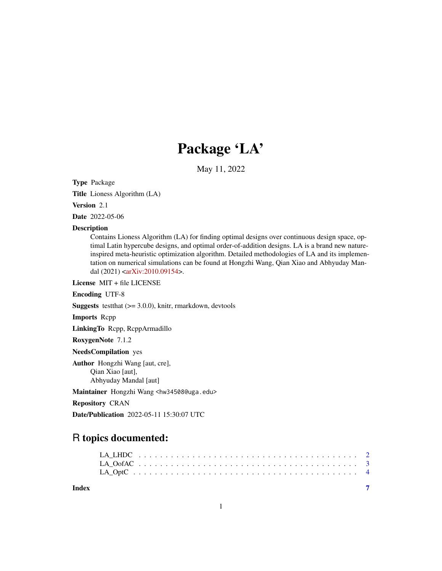# Package 'LA'

May 11, 2022

Type Package

Title Lioness Algorithm (LA)

Version 2.1

Date 2022-05-06

#### Description

Contains Lioness Algorithm (LA) for finding optimal designs over continuous design space, optimal Latin hypercube designs, and optimal order-of-addition designs. LA is a brand new natureinspired meta-heuristic optimization algorithm. Detailed methodologies of LA and its implementation on numerical simulations can be found at Hongzhi Wang, Qian Xiao and Abhyuday Mandal (2021) [<arXiv:2010.09154>](https://arxiv.org/abs/2010.09154).

License MIT + file LICENSE

Encoding UTF-8

**Suggests** testthat  $(>= 3.0.0)$ , knitr, rmarkdown, devtools

Imports Rcpp

LinkingTo Rcpp, RcppArmadillo

RoxygenNote 7.1.2

NeedsCompilation yes

Author Hongzhi Wang [aut, cre], Qian Xiao [aut], Abhyuday Mandal [aut]

Maintainer Hongzhi Wang <hw34508@uga.edu>

Repository CRAN

Date/Publication 2022-05-11 15:30:07 UTC

## R topics documented:

**Index** [7](#page-6-0) **7**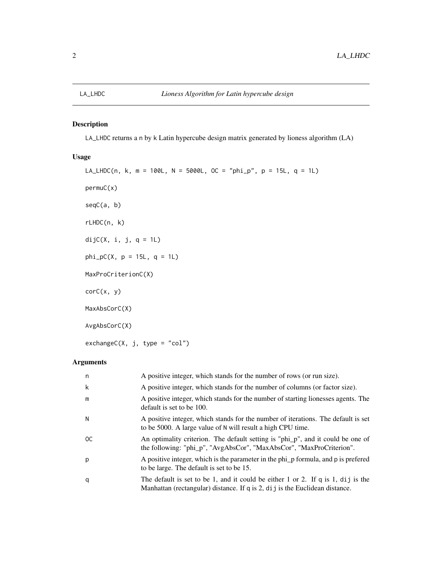#### <span id="page-1-0"></span>Description

LA\_LHDC returns a n by k Latin hypercube design matrix generated by lioness algorithm (LA)

#### Usage

```
LA_{LHDC}(n, k, m = 100L, N = 5000L, OC = "phi_{p}, p = 15L, q = 1L)permuC(x)
seqC(a, b)
rLHDC(n, k)
dijC(X, i, j, q = 1L)phi_pC(X, p = 15L, q = 1L)MaxProCriterionC(X)
corC(x, y)
MaxAbsCorC(X)
AvgAbsCorC(X)
```
 $exchangeC(X, j, type = "col")$ 

#### Arguments

| n             | A positive integer, which stands for the number of rows (or run size).                                                                                          |
|---------------|-----------------------------------------------------------------------------------------------------------------------------------------------------------------|
| k             | A positive integer, which stands for the number of columns (or factor size).                                                                                    |
| m             | A positive integer, which stands for the number of starting lionesses agents. The<br>default is set to be 100.                                                  |
| N             | A positive integer, which stands for the number of iterations. The default is set<br>to be 5000. A large value of N will result a high CPU time.                |
| <sub>OC</sub> | An optimality criterion. The default setting is "phi_p", and it could be one of<br>the following: "phi_p", "AvgAbsCor", "MaxAbsCor", "MaxProCriterion".         |
| p             | A positive integer, which is the parameter in the phi p formula, and p is prefered<br>to be large. The default is set to be 15.                                 |
| q             | The default is set to be 1, and it could be either 1 or 2. If q is 1, dij is the<br>Manhattan (rectangular) distance. If q is 2, dij is the Euclidean distance. |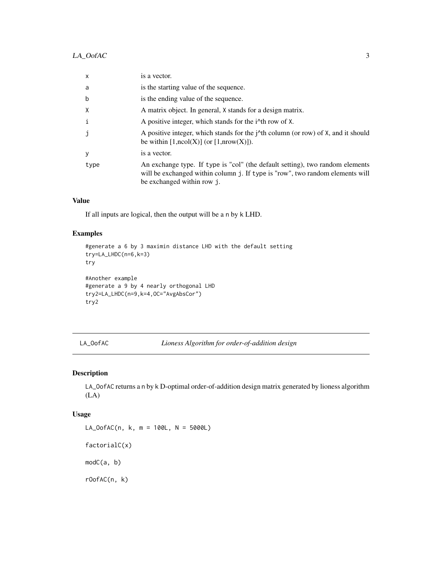### <span id="page-2-0"></span>LA\_OofAC 3

| X    | is a vector.                                                                                                                                                                                 |
|------|----------------------------------------------------------------------------------------------------------------------------------------------------------------------------------------------|
| a    | is the starting value of the sequence.                                                                                                                                                       |
| b    | is the ending value of the sequence.                                                                                                                                                         |
| X    | A matrix object. In general, X stands for a design matrix.                                                                                                                                   |
| i    | A positive integer, which stands for the i <sup><math>\lambda</math></sup> th row of X.                                                                                                      |
|      | A positive integer, which stands for the $\dot{\gamma}$ <sup>th</sup> column (or row) of X, and it should<br>be within $[1,\text{ncol}(X)]$ (or $[1,\text{nrow}(X)]$ ).                      |
| у    | is a vector.                                                                                                                                                                                 |
| type | An exchange type. If type is "col" (the default setting), two random elements<br>will be exchanged within column j. If type is "row", two random elements will<br>be exchanged within row j. |

#### Value

If all inputs are logical, then the output will be a n by k LHD.

#### Examples

```
#generate a 6 by 3 maximin distance LHD with the default setting
try=LA_LHDC(n=6,k=3)
try
#Another example
```

```
#generate a 9 by 4 nearly orthogonal LHD
try2=LA_LHDC(n=9,k=4,OC="AvgAbsCor")
try2
```
LA\_OofAC *Lioness Algorithm for order-of-addition design*

#### Description

LA\_OofAC returns a n by k D-optimal order-of-addition design matrix generated by lioness algorithm (LA)

#### Usage

LA\_OofAC(n, k, m = 100L, N = 5000L) factorialC(x) modC(a, b) rOofAC(n, k)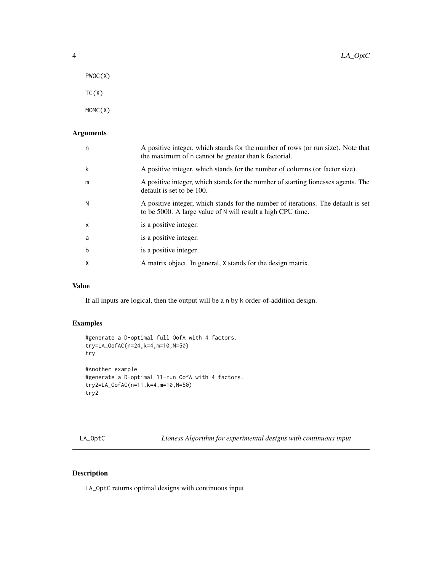- <span id="page-3-0"></span>PWOC(X)
- $TC(X)$

MOMC(X)

#### Arguments

| n | A positive integer, which stands for the number of rows (or run size). Note that<br>the maximum of n cannot be greater than k factorial.         |
|---|--------------------------------------------------------------------------------------------------------------------------------------------------|
| k | A positive integer, which stands for the number of columns (or factor size).                                                                     |
| m | A positive integer, which stands for the number of starting lionesses agents. The<br>default is set to be 100.                                   |
| N | A positive integer, which stands for the number of iterations. The default is set<br>to be 5000. A large value of N will result a high CPU time. |
| X | is a positive integer.                                                                                                                           |
| a | is a positive integer.                                                                                                                           |
| b | is a positive integer.                                                                                                                           |
| X | A matrix object. In general, X stands for the design matrix.                                                                                     |

#### Value

If all inputs are logical, then the output will be a n by k order-of-addition design.

#### Examples

```
#generate a D-optimal full OofA with 4 factors.
try=LA_OofAC(n=24,k=4,m=10,N=50)
try
#Another example
#generate a D-optimal 11-run OofA with 4 factors.
try2=LA_OofAC(n=11,k=4,m=10,N=50)
try2
```
LA\_OptC *Lioness Algorithm for experimental designs with continuous input*

#### Description

LA\_OptC returns optimal designs with continuous input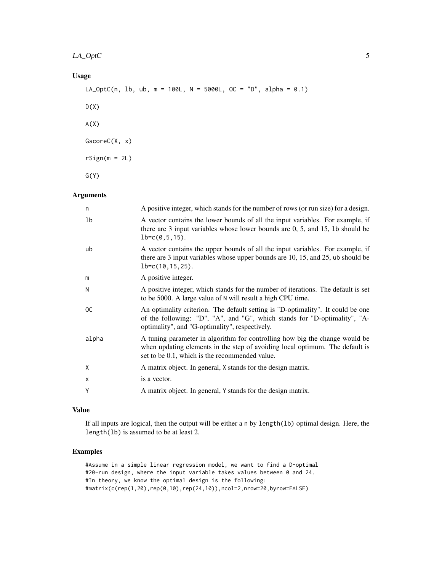### Usage

```
LA_OptC(n, lb, ub, m = 100L, N = 5000L, OC = "D", alpha = 0.1)
D(X)A(X)GscoreC(X, x)
rSign(m = 2L)G(Y)
```
#### Arguments

| n             | A positive integer, which stands for the number of rows (or run size) for a design.                                                                                                                            |
|---------------|----------------------------------------------------------------------------------------------------------------------------------------------------------------------------------------------------------------|
| 1b            | A vector contains the lower bounds of all the input variables. For example, if<br>there are $3$ input variables whose lower bounds are $0, 5$ , and $15$ , $1b$ should be<br>$lb = c(0, 5, 15)$ .              |
| ub            | A vector contains the upper bounds of all the input variables. For example, if<br>there are 3 input variables whose upper bounds are 10, 15, and 25, ub should be<br>$lb = c(10, 15, 25)$ .                    |
| m             | A positive integer.                                                                                                                                                                                            |
| N             | A positive integer, which stands for the number of iterations. The default is set<br>to be 5000. A large value of N will result a high CPU time.                                                               |
| <sub>OC</sub> | An optimality criterion. The default setting is "D-optimality". It could be one<br>of the following: "D", "A", and "G", which stands for "D-optimality", "A-<br>optimality", and "G-optimality", respectively. |
| alpha         | A tuning parameter in algorithm for controlling how big the change would be<br>when updating elements in the step of avoiding local optimum. The default is<br>set to be 0.1, which is the recommended value.  |
| X             | A matrix object. In general, X stands for the design matrix.                                                                                                                                                   |
| X             | is a vector.                                                                                                                                                                                                   |
| Υ             | A matrix object. In general, Y stands for the design matrix.                                                                                                                                                   |
|               |                                                                                                                                                                                                                |

#### Value

If all inputs are logical, then the output will be either a n by length(lb) optimal design. Here, the length(lb) is assumed to be at least 2.

#### Examples

#Assume in a simple linear regression model, we want to find a D-optimal #20-run design, where the input variable takes values between 0 and 24. #In theory, we know the optimal design is the following: #matrix(c(rep(1,20),rep(0,10),rep(24,10)),ncol=2,nrow=20,byrow=FALSE)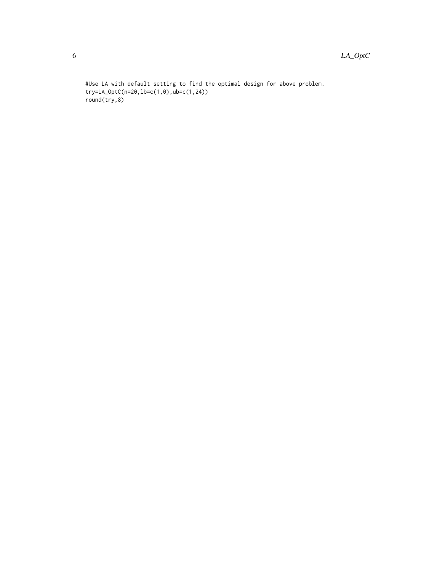#Use LA with default setting to find the optimal design for above problem. try=LA\_OptC(n=20,lb=c(1,0),ub=c(1,24)) round(try,8)